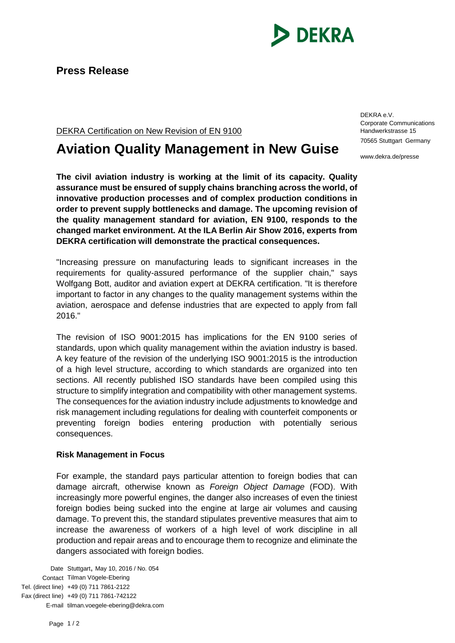

DEKRA Certification on New Revision of EN 9100

## **Aviation Quality Management in New Guise**

**The civil aviation industry is working at the limit of its capacity. Quality assurance must be ensured of supply chains branching across the world, of innovative production processes and of complex production conditions in order to prevent supply bottlenecks and damage. The upcoming revision of the quality management standard for aviation, EN 9100, responds to the changed market environment. At the ILA Berlin Air Show 2016, experts from DEKRA certification will demonstrate the practical consequences.**

"Increasing pressure on manufacturing leads to significant increases in the requirements for quality-assured performance of the supplier chain," says Wolfgang Bott, auditor and aviation expert at DEKRA certification. "It is therefore important to factor in any changes to the quality management systems within the aviation, aerospace and defense industries that are expected to apply from fall 2016."

The revision of ISO 9001:2015 has implications for the EN 9100 series of standards, upon which quality management within the aviation industry is based. A key feature of the revision of the underlying ISO 9001:2015 is the introduction of a high level structure, according to which standards are organized into ten sections. All recently published ISO standards have been compiled using this structure to simplify integration and compatibility with other management systems. The consequences for the aviation industry include adjustments to knowledge and risk management including regulations for dealing with counterfeit components or preventing foreign bodies entering production with potentially serious consequences.

## **Risk Management in Focus**

For example, the standard pays particular attention to foreign bodies that can damage aircraft, otherwise known as *Foreign Object Damage* (FOD). With increasingly more powerful engines, the danger also increases of even the tiniest foreign bodies being sucked into the engine at large air volumes and causing damage. To prevent this, the standard stipulates preventive measures that aim to increase the awareness of workers of a high level of work discipline in all production and repair areas and to encourage them to recognize and eliminate the dangers associated with foreign bodies.

Date Stuttgart, May 10, 2016 / No. 054 Contact Tilman Vögele-Ebering Tel. (direct line) +49 (0) 711 7861-2122 Fax (direct line) +49 (0) 711 7861-742122 E-mail tilman.voegele-ebering@dekra.com DEKRA e.V. Corporate Communications Handwerkstrasse 15 70565 Stuttgart Germany

www.dekra.de/presse